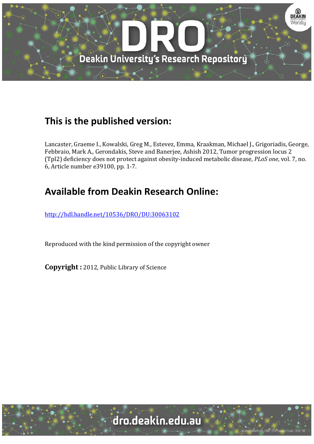

### **This is the published version:**

Lancaster, Graeme I., Kowalski, Greg M., Estevez, Emma, Kraakman, Michael J., Grigoriadis, George, Febbraio, Mark A., Gerondakis, Steve and Banerjee, Ashish 2012, Tumor progression locus 2 (Tpl2) deficiency does not protect against obesity‐induced metabolic disease*, PLoS one*, vol. 7, no. 6, Article number e39100, pp. 1‐7. 

# **Available from Deakin Research Online:**

http://hdl.handle.net/10536/DRO/DU:30063102

Reproduced with the kind permission of the copyright owner

**Copyright** : 2012, Public Library of Science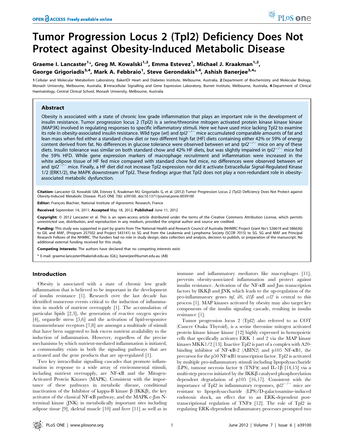## Tumor Progression Locus 2 (Tpl2) Deficiency Does Not Protect against Obesity-Induced Metabolic Disease

### Graeme I. Lancaster<sup>1</sup>\*, Greg M. Kowalski<sup>1,2</sup>, Emma Estevez<sup>1</sup>, Michael J. Kraakman<sup>1,2</sup>, George Grigoriadis $^{3,4}$ , Mark A. Febbraio $^1$ , Steve Gerondakis $^{3,4}$ , Ashish Banerjee $^{3,4_\star}$

1 Cellular and Molecular Metabolism Laboratory, BakerIDI Heart and Diabetes Institute, Melbourne, Australia, 2 Department of Biochemistry and Molecular Biology, Monash University, Melbourne, Australia, 3 Intracellular Signalling and Gene Expression Laboratory, Burnet Institute, Melbourne, Australia, 4 Department of Clinical Haematology, Central Clinical School, Monash University, Melbourne, Australia

#### Abstract

Obesity is associated with a state of chronic low grade inflammation that plays an important role in the development of insulin resistance. Tumor progression locus 2 (Tpl2) is a serine/threonine mitogen activated protein kinase kinase kinase (MAP3K) involved in regulating responses to specific inflammatory stimuli. Here we have used mice lacking Tpl2 to examine its role in obesity-associated insulin resistance. Wild type (wt) and  $tpl2^{-/-}$  mice accumulated comparable amounts of fat and lean mass when fed either a standard chow diet or two different high fat (HF) diets containing either 42% or 59% of energy content derived from fat. No differences in glucose tolerance were observed between wt and  $tp/2^{-/-}$  mice on any of these diets. Insulin tolerance was similar on both standard chow and 42% HF diets, but was slightly impaired in tpl2<sup>-/-</sup> mice fed the 59% HFD. While gene expression markers of macrophage recruitment and inflammation were increased in the white adipose tissue of HF fed mice compared with standard chow fed mice, no differences were observed between wt and tpl $2^{-/-}$  mice. Finally, a HF diet did not increase Tpl2 expression nor did it activate Extracellular Signal-Regulated Kinase 1/2 (ERK1/2), the MAPK downstream of Tpl2. These findings argue that Tpl2 does not play a non-redundant role in obesityassociated metabolic dysfunction.

Citation: Lancaster GI, Kowalski GM, Estevez E, Kraakman MJ, Grigoriadis G, et al. (2012) Tumor Progression Locus 2 (Tpl2) Deficiency Does Not Protect against Obesity-Induced Metabolic Disease. PLoS ONE 7(6): e39100. doi:10.1371/journal.pone.0039100

Editor: François Blachier, National Institute of Agronomic Research, France

Received September 14, 2011; Accepted May 18, 2012; Published June 11, 2012

Copyright: © 2012 Lancaster et al. This is an open-access article distributed under the terms of the Creative Commons Attribution License, which permits unrestricted use, distribution, and reproduction in any medium, provided the original author and source are credited.

Funding: This study was supported in part by grants from The National Health and Research Council of Australia (NHMRC Project Grant No's 526619 and 586636) to GIL and MAF, (Program 257502 and Project 543141) to SG and from the Leukemia and Lymphoma Society (SCOR 7015) to SG. SG and MAF are Principal Research Fellows of the NHMRC. The funders had no role in study design, data collection and analysis, decision to publish, or preparation of the manuscript. No additional external funding received for this study.

Competing Interests: The authors have declared that no competing interests exist.

\* E-mail: graeme.lancaster@bakeridi.edu.au (GIL); banerjee@burnet.edu.au (AB)

#### Introduction

Obesity is associated with a state of chronic low grade inflammation that is believed to be important in the development of insulin resistance [1]. Research over the last decade has identified numerous events critical to the induction of inflammation in models of nutrient oversupply [1]. The accumulation of particular lipids [2,3], the generation of reactive oxygen species [4], organelle stress [5,6] and the activation of lipid-responsive transmembrane receptors [7,8] are amongst a multitude of stimuli that have been suggested to link excess nutrient availability to the induction of inflammation. However, regardless of the precise mechanisms by which nutrient-mediated inflammation is initiated, a commonality exists in both the signaling pathways that are activated and the gene products that are up-regulated [1].

Two key intracellular signalling cascades that promote inflammation in response to a wide array of environmental stimuli, including nutrient oversupply, are NF-kB and the Mitogen-Activated Protein Kinases (MAPK). Consistent with the importance of these pathways in metabolic disease, conditional inactivation of the Inhibitor of kappa-B kinase  $\beta$  (IKK $\beta$ ), the key activator of the classical NF-kB pathway, and the MAPK c-Jun Nterminal kinase (JNK) in metabolically important sites including adipose tissue [9], skeletal muscle [10] and liver [11] as well as in immune and inflammatory mediators like macrophages [11], prevents obesity-associated inflammation and protect against insulin resistance. Activation of the NF-kB and Jun transcription factors by  $IKK\beta$  and JNK which leads to the up-regulation of the pro-inflammatory genes  $\eta f$ ,  $il6$ ,  $il1\beta$  and  $\alpha$ lle is central to this process [1]. MAP kinases activated by obesity may also target key components of the insulin signaling cascade, resulting in insulin resistance [1].

PLoS one

Tumor progression locus 2 (Tpl2) also referred to as COT (Cancer Osaka Thyroid), is a serine threonine mitogen activated protein kinase kinase kinase [12] highly expressed in hemopoietic cells that specifically activates ERK 1 and 2 via the MAP kinase kinases MKK1/2 [13]. Inactive Tpl2 is part of a complex with A20 binding inhibitor of NF-kB-2 (ABIN2) and p105 NF-kB1, the precursor for the p50 NF-kB1 transcription factor. Tpl2 is activated by multiple pro-inflammatory stimuli including lipopolysaccharide (LPS), tumour necrosis factor  $\alpha$  (TNF $\alpha$ ) and IL-1 $\beta$  [14,15] via a multi-step process initiated by the  $IKK\beta$  catalysed phosphorylation dependent degradation of p105 [16,17]. Consistent with the importance of Tpl2 in inflammatory responses,  $tpl2^{-/-}$  mice are resistant to lipopolysaccharide (LPS)/D-galactosamine-induced endotoxic shock, an effect due to an ERK-dependent posttranscriptional regulation of TNF $\alpha$  [12]. The role of Tpl2 in regulating ERK-dependent inflammatory processes prompted two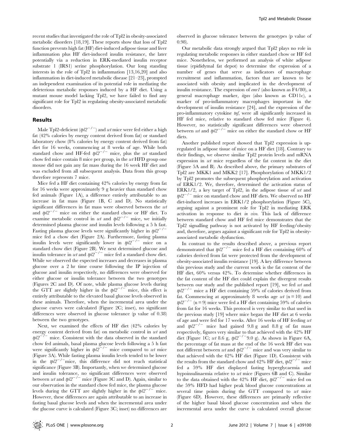recent studies that investigated the role of Tpl2 in obesity-associated metabolic disorders [18,19]. These reports show that loss of Tpl2 function prevents high fat (HF) diet-induced adipose tissue and liver inflammation plus HF diet-induced insulin resistance, the later potentially via a reduction in ERK-mediated insulin receptor substrate 1 (IRS1) serine phosphorylation. Our long standing interests in the role of Tpl2 in inflammation [13,16,20] and also inflammation in diet-induced metabolic disease [21–23], prompted an independent examination of its potential role in mediating the deleterious metabolic responses induced by a HF diet. Using a mutant mouse model lacking Tpl2, we have failed to find any significant role for Tpl2 in regulating obesity-associated metabolic disorders.

#### Results

Male Tpl2-deficient ( $tpl2^{-/-}$ ) and wt mice were fed either a high fat (42% calories by energy content derived from fat) or standard laboratory chow (8% calories by energy content derived from fat) diet for 16 weeks, commencing at 8 weeks of age. While both standard chow and HF-fed  $tpl2^{-/-}$  mice, plus the wt standard chow fed mice contain 8 mice per group, in the wt HFD group one mouse did not gain any fat mass during the 16 week HF diet and was excluded from all subsequent analysis. Data from this group therefore represents 7 mice.

Mice fed a HF diet containing 42% calories by energy from fat for 16 weeks were approximately 9 g heavier than standard chow fed animals (Figure 1A), a difference entirely attributable to an increase in fat mass (Figure 1B, C and D). No statistically significant differences in fat mass were observed between the wt and  $tpl2^{-/-}$  mice on either the standard chow or HF diet. To examine metabolic control in wt and  $tpl2^{-/-}$  mice, we initially determined plasma glucose and insulin levels following a 5 h fast. Fasting plasma glucose levels were significantly higher in  $\textit{tbl2}^{-/-}$ mice fed a chow diet (Figure 2A). Furthermore, fasting plasma insulin levels were significantly lower in  $tpl2^{-/-}$  mice on a standard chow diet (Figure 2B). We next determined glucose and insulin tolerance in *wt* and  $tpl2^{-/-}$  mice fed a standard chow diet. While we observed the expected increases and decreases in plasma glucose over a 2 hr time course following the IP injection of glucose and insulin respectively, no differences were observed for either glucose or insulin tolerance between the two genotypes (Figures 2C and D). Of note, while plasma glucose levels during the GTT are slightly higher in the  $tpl2^{-/-}$  mice, this effect is entirely attributable to the elevated basal glucose levels observed in these animals. Therefore, when the incremental area under the glucose curves were calculated (Figure 2C; inset), no significant differences were observed in glucose tolerance (p value of 0.38) between the two genotypes.

Next, we examined the effects of HF diet (42% calories by energy content derived from fat) on metabolic control in wt and  $tbl2^{-/-}$  mice. Consistent with the data observed in the standard chow fed animals, basal plasma glucose levels following a 5 h fast were significantly higher in  $tpl2^{-/-}$  mice compared to wt mice (Figure 3A). While fasting plasma insulin levels tended to be lower in the  $tpl2^{-/-}$ mice, this difference did not reach statistical significance (Figure 3B). Importantly, when we determined glucose and insulin tolerance, no significant differences were observed between wt and  $tpl2^{-/-}$  mice (Figure 3C and D). Again, similar to our observation in the standard chow fed mice, the plasma glucose levels during the GTT are slightly higher in the  $tpl2^{-/-}$  mice. However, these differences are again attributable to an increase in fasting basal glucose levels and when the incremental area under the glucose curve is calculated (Figure 3C; inset) no differences are

observed in glucose tolerance between the genotypes (p value of 0.98).

Our metabolic data strongly argued that Tpl2 plays no role in regulating metabolic responses in either standard chow or HF fed mice. Nonetheless, we performed an analysis of white adipose tissue (epididymal fat depot) to determine the expression of a number of genes that serve as indicators of macrophage recruitment and inflammation, factors that are known to be associated with obesity and implicated in the development of insulin resistance. The expression of emr1 (also known as F4/80), a general macrophage marker, itgax (also known as CD11c), a marker of pro-inflammatory macrophages important in the development of insulin resistance [24], and the expression of the pro-inflammatory cytokine tnf, were all significantly increased in HF fed mice, relative to standard chow fed mice (Figure 4). However, no statistically significant differences were observed between wt and  $tpl2^{-/-}$  mice on either the standard chow or HF diets.

Another published report showed that Tpl2 expression is upregulated in adipose tissue of mice on a HF diet [18]. Contrary to their findings, we observe similar Tpl2 protein levels and mRNA expression in wt mice regardless of the fat content in the diet (Figure 5A and B). As described above, the primary substrates of Tpl2 are MKK1 and MKK2 [17]. Phosphorylation of MKK1/2 by Tpl2 promotes the subsequent phosphorylation and activation of ERK1/2. We, therefore, determined the activation status of ERK1/2, a key target of Tpl2, in the adipose tissue of wt and  $tpl2^{-/-}$  mice on standard chow and HF diets. We observed no HF diet-induced increases in ERK1/2 phosphorylation (Figure 5C), arguing against a prominent role for Tpl2 in mediating ERK activation in response to diet in vivo. This lack of difference between standard chow and HF fed mice demonstrates that the Tpl2 signalling pathway is not activated by HF feeding/obesity and, therefore, argues against a significant role for Tpl2 in obesityassociated metabolic dysfunction.

In contrast to the results described above, a previous report demonstrated that  $tpl2^{-/-}$  mice fed a HF diet containing 60% of calories derived from fat were protected from the development of obesity-associated insulin resistance [19]. A key difference between this previous study and the current work is the fat content of the HF diet, 60% versus 42%. To determine whether differences in the fat content of the HF diet could explain the divergent results between our study and the published report [19], we fed wt and  $tpl2^{-/-}$  mice a HF diet containing 59% of calories derived from fat. Commencing at approximately 8 weeks age  $wt$  (n = 10) and  $tpl2^{-/-}$  (n = 9) mice were fed a HF diet containing 59% of calories from fat for 16 weeks. This protocol is very similar to that used in the previous study [19] where mice began the HF diet at 6 weeks of age and were fed for 17 weeks. After 16 weeks of HF feeding wt and  $tpl2^{-/-}$  mice had gained 9.8 g and 8.8 g of fat mass respectively, figures very similar to that achieved with the 42% HF diet (Figure 1C; wt 8.6 g,  $tpl2^{-/-}9.0$  g). As shown in Figure 6A, the percentage of fat mass at the end of the 16 week HF diet was not different between wt and  $tpl2^{-/-}$  mice and was very similar to that achieved with the 42% HF diet (Figure 1D). Consistent with the results from the standard chow and 42% HF diet,  $tpl2^{-/-}$  mice fed a 59% HF diet displayed fasting hyperglycaemia and hypoinsulinaemia relative to wt mice (Figures 6B and C). Similar to the data obtained with the 42% HF diet,  $tpl2^{-/-}$  mice fed on the 59% HFD had higher peak blood glucose concentrations at several time points during the GTT compared to wt mice (Figure 6D). However, these differences are primarily reflective of the higher basal blood glucose concentration and when the incremental area under the curve is calculated overall glucose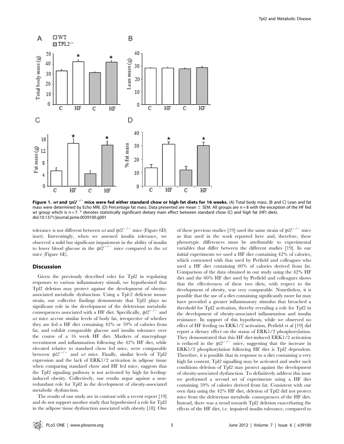

Figure 1. wt and tpl $2^{-/-}$  mice were fed either standard chow or high fat diets for 16 weeks. (A) Total body mass. (B and C) Lean and fat mass were determined by Echo MRI. (D) Percentage fat mass. Data presented are mean  $\pm$  SEM. All groups are n = 8 with the exception of the HF fed wt group which is n = 7. \* denotes statistically significant dietary main effect between standard chow (C) and high fat (HF) diets. doi:10.1371/journal.pone.0039100.g001

tolerance is not different between wt and  $tbl2^{-/-}$  mice (Figure 6D; inset). Interestingly, when we assessed insulin tolerance, we observed a mild but significant impairment in the ability of insulin to lower blood glucose in the  $tpl2^{-/-}$  mice compared to the wt mice (Figure 6E).

#### Discussion

Given the previously described roles for Tpl2 in regulating responses to various inflammatory stimuli, we hypothesised that Tpl2 deletion may protect against the development of obesityassociated metabolic dysfunction. Using a Tpl-2 deficient mouse strain, our collective findings demonstrate that Tpl2 plays no significant role in the development of the deleterious metabolic consequences associated with a HF diet. Specifically,  $tpl2^{-/-}$  and wt mice accrue similar levels of body fat, irrespective of whether they are fed a HF diet containing 42% or 59% of calories from fat, and exhibit comparable glucose and insulin tolerance over the course of a 16 week HF diet. Markers of macrophage recruitment and inflammation following the 42% HF diet, while elevated relative to standard chow fed mice, were comparable between  $tpl2^{-/-}$  and wt mice. Finally, similar levels of Tpl2 expression and the lack of ERK1/2 activation in adipose tissue when comparing standard chow and HF fed mice, suggests that the Tpl2 signaling pathway is not activated by high fat feedinginduced obesity. Collectively, our results argue against a nonredundant role for Tpl2 in the development of obesity-associated metabolic dysfunction.

The results of our study are in contrast with a recent report [19] and do not support another study that hypothesised a role for Tpl2 in the adipose tissue dysfunction associated with obesity [18]. One of these previous studies [19] used the same strain of  $\frac{t}{2}$ <sup>-/-</sup> mice as that used in the work reported here and, therefore, these phenotypic differences must be attributable to experimental variables that differ between the different studies [19]. In our initial experiments we used a HF diet containing 42% of calories, which contrasted with that used by Perfield and colleagues who used a HF diet containing 60% of calories derived from fat. Comparison of the data obtained in our study using the 42% HF diet and the 60% HF diet used by Perfield and colleagues shows that the effectiveness of these two diets, with respect to the development of obesity, was very comparable. Nonetheless, it is possible that the use of a diet containing significantly more fat may have provided a greater inflammatory stimulus that breached a threshold for Tpl2 activation, thereby revealing a role for Tpl2 in the development of obesity-associated inflammation and insulin resistance. In support of this hypothesis, while we observed no effect of HF feeding on ERK1/2 activation, Perfield et al [19] did report a dietary effect on the status of ERK1/2 phosphorylation. They demonstrated that this HF diet-induced ERK1/2 activation is reduced in the  $tpl2^{-/-}$  mice, suggesting that the increase in ERK1/2 phosphorylation following HF diet is Tpl2 dependent. Therefore, it is possible that in response to a diet containing a very high fat content, Tpl2 signalling may be activated and under such conditions deletion of Tpl2 may protect against the development of obesity-associated dysfunction. To definitively address this issue we performed a second set of experiments using a HF diet containing 59% of calories derived from fat. Consistent with our own data using the 42% HF diet, deletion of Tpl2 did not protect mice from the deleterious metabolic consequences of the HF diet. Instead, there was a trend towards Tpl2 deletion exacerbating the effects of the HF diet, i.e. impaired insulin tolerance, compared to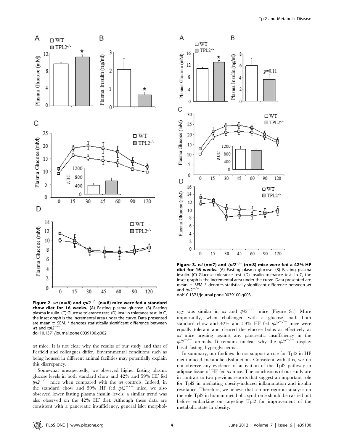

30

 $\square$  WT

 $\blacksquare$  TPL2- $\prime$ -

 $\overline{A}$ 

16

 $12$ 

8



B

6

 $\Delta$ 

Figure 3. wt (n = 7) and  $tpl2^{-/-}$  (n = 8) mice were fed a 42% HF diet for 16 weeks. (A) Fasting plasma glucose. (B) Fasting plasma insulin. (C) Glucose tolerance test. (D) Insulin tolerance test. In C, the and  $tpl2^{-/2}$ 

Figure 2. wt (n = 8) and  $tp/2^{-/-}$  (n = 8) mice were fed a standard chow diet for 16 weeks. (A) Fasting plasma glucose. (B) Fasting plasma insulin. (C) Glucose tolerance test. (D) Insulin tolerance test. In C, the inset graph is the incremental area under the curve. Data presented are mean  $\pm$  SEM.  $*$  denotes statistically significant difference between wt and  $tpl2^{-/-}$ doi:10.1371/journal.pone.0039100.g002

wt mice. It is not clear why the results of our study and that of Perfield and colleagues differ. Environmental conditions such as being housed in different animal facilities may potentially explain this discrepancy.

Somewhat unexpectedly, we observed higher fasting plasma glucose levels in both standard chow and 42% and 59% HF fed  $tpl2^{-/-}$  mice when compared with the wt controls. Indeed, in the standard chow and 59% HF fed  $tpl2^{-/-}$  mice, we also observed lower fasting plasma insulin levels; a similar trend was also observed on the 42% HF diet. Although these data are consistent with a pancreatic insufficiency, general islet morphol $p=0.11$ 

inset graph is the incremental area under the curve. Data presented are mean  $\pm$  SEM.  $*$  denotes statistically significant difference between wt doi:10.1371/journal.pone.0039100.g003

ogy was similar in wt and  $tpl2^{-/-}$  mice (Figure S1). More importantly, when challenged with a glucose load, both standard chow and 42% and 59% HF fed  $tpl2^{-/-}$  mice were equally tolerant and cleared the glucose bolus as effectively as wt mice arguing against any pancreatic insufficiency in the  $tpl2^{-/-}$  animals. It remains unclear why the  $tpl2^{-/-}$  display basal fasting hyperglycaemia.

In summary, our findings do not support a role for Tpl2 in HF diet-induced metabolic dysfunction. Consistent with this, we do not observe any evidence of activation of the Tpl2 pathway in adipose tissue of HF fed wt mice. The conclusions of our study are in contrast to two previous reports that suggest an important role for Tpl2 in mediating obesity-induced inflammation and insulin resistance. Therefore, we believe that a more rigorous analysis on the role Tpl2 in human metabolic syndrome should be carried out before embarking on targeting Tpl2 for improvement of the metabolic state in obesity.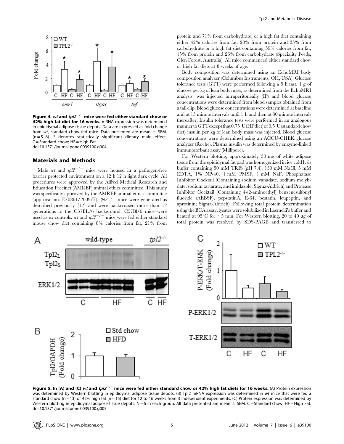

Figure 4. wt and  $tp/2^{-/-}$  mice were fed either standard chow or 42% high fat diet for 16 weeks. mRNA expression was determined in epididymal adipose tissue depots. Data are expressed as fold change from wt, standard chow fed mice. Data presented are mean  $\pm$  SEM.  $(n = 5-6)$ . \* denotes statistically significant dietary main effect.  $C =$  Standard chow;  $HF =$  High Fat. doi:10.1371/journal.pone.0039100.g004

#### Materials and Methods

Male wt and  $tbl2^{-/-}$  mice were housed in a pathogen-free barrier protected environment on a 12 h:12 h light:dark cycle. All procedures were approved by the Alfred Medical Research and Education Precinct (AMREP) animal ethics committee. This study was specifically approved by the AMREP animal ethics committee (approval no. E/0861/2009/F).  $tpl2^{-/-}$  mice were generated as described previously [12] and were backcrossed more than 12 generations to the C57BL/6 background. C57Bl/6 mice were used as wt controls. wt and  $tpl2^{-/-}$  mice were fed either standard mouse chow diet containing 8% calories from fat, 21% from

protein and 71% from carbohydrate, or a high fat diet containing either 42% calories from fat, 20% from protein and 35% from carbohydrate or a high fat diet containing 59% calories from fat, 15% from protein and 26% from carbohydrate (Speciality Feeds, Glen Forest, Australia). All mice commenced either standard chow or high fat diets at 8 weeks of age.

Body composition was determined using an EchoMRI body composition analyzer (Columbus Instruments, OH, USA). Glucose tolerance tests (GTT) were performed following a 5 h fast. 1 g of glucose per kg of lean body mass, as determined from the EchoMRI analysis, was injected intraperitoneally (IP) and blood glucose concentrations were determined from blood samples obtained from a tail clip. Blood glucose concentrations were determined at baseline and at 15 minute intervals until 1 h and then at 30 minute intervals thereafter. Insulin tolerance tests were performed in an analogous mannertoGTTexceptthat 0.75 U(HFdiet) or 0.5 U(standardchow diet) insulin per kg of lean body mass was injected. Blood glucose concentrations were determined using an ACCU-CHEK glucose analyzer (Roche). Plasma insulin was determined by enzyme-linked immunosorbant assay (Millipore).

For Western blotting, approximately 50 mg of white adipose tissue from the epididymal fat pad was homogenized in ice cold lysis buffer containing 50 mM TRIS (pH 7.4), 130 mM NaCl, 5 mM EDTA, 1% NP-40, 1 mM PMSF, 1 mM NaF, Phosphatase Inhibitor Cocktail (Containing sodium vanadate, sodium molybdate, sodium tartarate, and imidazole; Sigma-Aldrich) and Protease Inhibitor Cocktail (Containing 4-(2-aminoethyl) benzenesulfonyl fluoride (AEBSF), pepstatinA, E-64, bestatin, leupeptin, and aprotinin; Sigma-Aldrich). Following total protein determination using the BCA assay, lysates were solubilized in Laemelli's buffer and heated at 95<sup>°</sup>C for  $\sim$ 5 min. For Western blotting, 20 to 40 µg of total protein was resolved by SDS-PAGE and transferred to



Figure 5. In (A) and (C) wt and tpl2<sup>-/-</sup> mice were fed either standard chow or 42% high fat diets for 16 weeks. (A) Protein expression was determined by Western blotting in epididymal adipose tissue depots. (B) Tpl2 mRNA expression was determined in wt mice that were fed a standard chow (n = 13) or 42% high fat (n = 15) diet for 12 to 16 weeks from 3 independent experiments. (C) Protein expression was determined by Western blotting in epididymal adipose tissue depots. N = 6 in each group. All data presented are mean  $\pm$  SEM. C = Standard chow; HF = High Fat. doi:10.1371/journal.pone.0039100.g005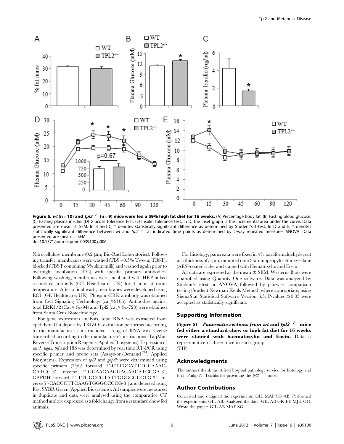

Figure 6. wt (n = 10) and tpl2<sup>-/-</sup> (n = 9) mice were fed a 59% high fat diet for 16 weeks. (A) Percentage body fat. (B) Fasting blood glucose. (C) Fasting plasma insulin. (D) Glucose tolerance test. (E) Insulin tolerance test. In D, the inset graph is the incremental area under the curve. Data presented are mean  $\pm$  SEM. In B and C, \* denotes statistically significant difference as determined by Student's T-test. In D and E, \* denotes statistically significant difference between wt and tpl2<sup>-/-</sup> at indicated time points as determined by 2-way repeated measures ANOVA. Data presented are mean  $\pm$  SEM. doi:10.1371/journal.pone.0039100.g006

Nitrocellulose membrane (0.2 µm; Bio-Rad Laboratories). Following transfer, membranes were washed (TBS +0.5% Tween; TBST), blocked (TBST containing 5% skim milk) and washed again prior to overnight incubation  $(4^{\circ}C)$  with specific primary antibodies. Following washing, membranes were incubated with HRP-linked secondary antibody (GE Healthcare, UK) for 1 hour at room temperature. After a final wash, membranes were developed using ECL (GE Healthcare, UK). Phospho-ERK antibody was obtained from Cell Signaling Technology (cat#9106). Antibodies against total ERK1/2 (Cat# Sc-94) and Tpl2 (cat# Sc-720) were obtained from Santa Cruz Biotechnology.

For gene expression analysis, total RNA was extracted from epididymal fat depots by TRIZOL extraction performed according to the manufacturer's instructions.  $1.5 \mu g$  of RNA was reverse transcribed according to the manufacturer's instructions (TaqMan Reverse Transcription Reagents; Applied Biosystems). Expression of emr1, itgax, tnf and 18S was determined by real time RT-PCR using specific primer and probe sets (Assays-on-Demand<sup>TM</sup>, Applied Biosystems). Expression of tpl2 and gapdh were determined using specific primers (Tpl2 forward 5'-CTTGCATTTGCAAAC-CATGC-3', reverse 5'-GGAACAAGGAGAACATCCGA-3'; GAPDH forward 5'-TTGGCCGTATTGGGCGCCTG-3', reverse 5'-CACCCTTCAAGTGGGCCCCG-3') and detected using Fast SYBR Green (Applied Biosystems). All samples were measured in duplicate and data were analysed using the comparative CT method and are expressed as a fold change from wtstandard chowfed animals.

For histology, pancreata were fixed in 4% paraformaldehyde, cut at a thickness of 5  $\mu$ m, mounted onto 3-aminopropyltriethoxy-silane (AES)-coated slides and stained with Hematoxylin and Eosin.

All data are expressed as the mean  $\pm$  SEM. Westerns Blots were quantified using Quantity One software. Data was analyzed by Student's t-test or ANOVA followed by pairwise comparison testing (Student Newman Keuls Method) where appropriate, using SigmaStat Statistical Software Version 3.5. P-values  $\leq 0.05$  were accepted as statistically significant.

#### Supporting Information

Figure S1 Pancreatic sections from wt and  $tpl2^{-/-}$  mice fed either a standard chow or high fat diet for 16 weeks were stained with haematoxylin and Eosin. Data is representative of three mice in each group. (TIF)

#### Acknowledgments

The authors thank the Alfred hospital pathology service for histology and Prof. Philip N. Tsichlis for providing the  $tpl2^-$ 

#### Author Contributions

Conceived and designed the experiments: GIL MAF SG AB. Performed the experiments: GIL AB. Analyzed the data: GIL AB GK EE MJK GG. Wrote the paper: GIL AB MAF SG.